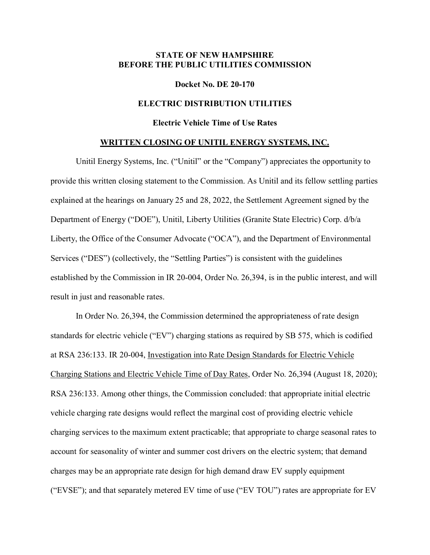# **STATE OF NEW HAMPSHIRE BEFORE THE PUBLIC UTILITIES COMMISSION**

#### **Docket No. DE 20-170**

### **ELECTRIC DISTRIBUTION UTILITIES**

## **Electric Vehicle Time of Use Rates**

### **WRITTEN CLOSING OF UNITIL ENERGY SYSTEMS, INC.**

Unitil Energy Systems, Inc. ("Unitil" or the "Company") appreciates the opportunity to provide this written closing statement to the Commission. As Unitil and its fellow settling parties explained at the hearings on January 25 and 28, 2022, the Settlement Agreement signed by the Department of Energy ("DOE"), Unitil, Liberty Utilities (Granite State Electric) Corp. d/b/a Liberty, the Office of the Consumer Advocate ("OCA"), and the Department of Environmental Services ("DES") (collectively, the "Settling Parties") is consistent with the guidelines established by the Commission in IR 20-004, Order No. 26,394, is in the public interest, and will result in just and reasonable rates.

In Order No. 26,394, the Commission determined the appropriateness of rate design standards for electric vehicle ("EV") charging stations as required by SB 575, which is codified at RSA 236:133. IR 20-004, Investigation into Rate Design Standards for Electric Vehicle Charging Stations and Electric Vehicle Time of Day Rates, Order No. 26,394 (August 18, 2020); RSA 236:133. Among other things, the Commission concluded: that appropriate initial electric vehicle charging rate designs would reflect the marginal cost of providing electric vehicle charging services to the maximum extent practicable; that appropriate to charge seasonal rates to account for seasonality of winter and summer cost drivers on the electric system; that demand charges may be an appropriate rate design for high demand draw EV supply equipment ("EVSE"); and that separately metered EV time of use ("EV TOU") rates are appropriate for EV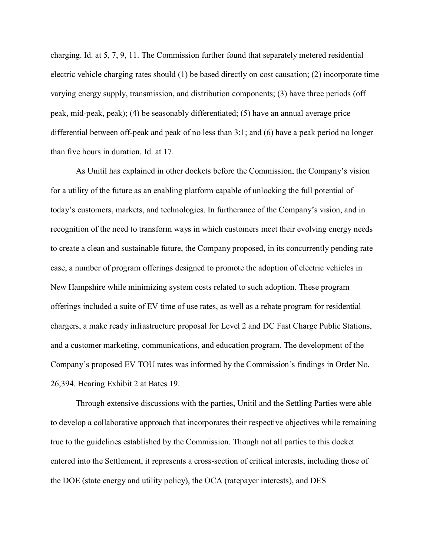charging. Id. at 5, 7, 9, 11. The Commission further found that separately metered residential electric vehicle charging rates should (1) be based directly on cost causation; (2) incorporate time varying energy supply, transmission, and distribution components; (3) have three periods (off peak, mid-peak, peak); (4) be seasonably differentiated; (5) have an annual average price differential between off-peak and peak of no less than 3:1; and (6) have a peak period no longer than five hours in duration. Id. at 17.

As Unitil has explained in other dockets before the Commission, the Company's vision for a utility of the future as an enabling platform capable of unlocking the full potential of today's customers, markets, and technologies. In furtherance of the Company's vision, and in recognition of the need to transform ways in which customers meet their evolving energy needs to create a clean and sustainable future, the Company proposed, in its concurrently pending rate case, a number of program offerings designed to promote the adoption of electric vehicles in New Hampshire while minimizing system costs related to such adoption. These program offerings included a suite of EV time of use rates, as well as a rebate program for residential chargers, a make ready infrastructure proposal for Level 2 and DC Fast Charge Public Stations, and a customer marketing, communications, and education program. The development of the Company's proposed EV TOU rates was informed by the Commission's findings in Order No. 26,394. Hearing Exhibit 2 at Bates 19.

Through extensive discussions with the parties, Unitil and the Settling Parties were able to develop a collaborative approach that incorporates their respective objectives while remaining true to the guidelines established by the Commission. Though not all parties to this docket entered into the Settlement, it represents a cross-section of critical interests, including those of the DOE (state energy and utility policy), the OCA (ratepayer interests), and DES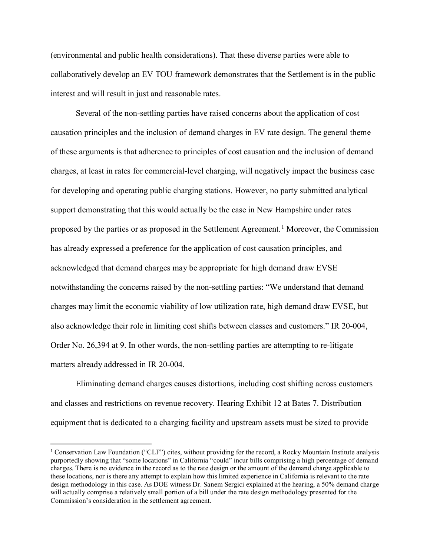(environmental and public health considerations). That these diverse parties were able to collaboratively develop an EV TOU framework demonstrates that the Settlement is in the public interest and will result in just and reasonable rates.

Several of the non-settling parties have raised concerns about the application of cost causation principles and the inclusion of demand charges in EV rate design. The general theme of these arguments is that adherence to principles of cost causation and the inclusion of demand charges, at least in rates for commercial-level charging, will negatively impact the business case for developing and operating public charging stations. However, no party submitted analytical support demonstrating that this would actually be the case in New Hampshire under rates proposed by the parties or as proposed in the Settlement Agreement.<sup>[1](#page-2-0)</sup> Moreover, the Commission has already expressed a preference for the application of cost causation principles, and acknowledged that demand charges may be appropriate for high demand draw EVSE notwithstanding the concerns raised by the non-settling parties: "We understand that demand charges may limit the economic viability of low utilization rate, high demand draw EVSE, but also acknowledge their role in limiting cost shifts between classes and customers." IR 20-004, Order No. 26,394 at 9. In other words, the non-settling parties are attempting to re-litigate matters already addressed in IR 20-004.

Eliminating demand charges causes distortions, including cost shifting across customers and classes and restrictions on revenue recovery. Hearing Exhibit 12 at Bates 7. Distribution equipment that is dedicated to a charging facility and upstream assets must be sized to provide

<span id="page-2-0"></span> <sup>1</sup> Conservation Law Foundation ("CLF") cites, without providing for the record, a Rocky Mountain Institute analysis purportedly showing that "some locations" in California "could" incur bills comprising a high percentage of demand charges. There is no evidence in the record as to the rate design or the amount of the demand charge applicable to these locations, nor is there any attempt to explain how this limited experience in California is relevant to the rate design methodology in this case. As DOE witness Dr. Sanem Sergici explained at the hearing, a 50% demand charge will actually comprise a relatively small portion of a bill under the rate design methodology presented for the Commission's consideration in the settlement agreement.